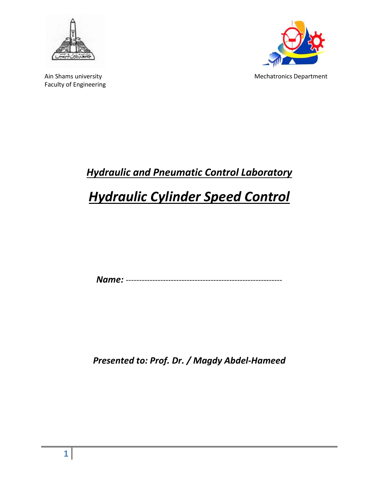



Ain Shams university and the matrix of the Mechatronics Department

# *Hydraulic and Pneumatic Control Laboratory*

# *Hydraulic Cylinder Speed Control*

*Name:* -----------------------------------------------------------

*Presented to: Prof. Dr. / Magdy Abdel-Hameed*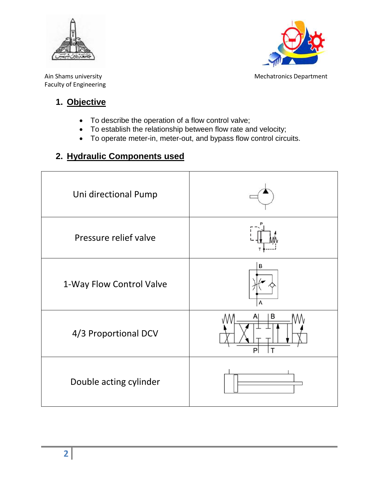



Ain Shams university and the matrix of the Mechatronics Department

## **1. Objective**

- To describe the operation of a flow control valve;
- To establish the relationship between flow rate and velocity;
- To operate meter-in, meter-out, and bypass flow control circuits.

# **2. Hydraulic Components used**

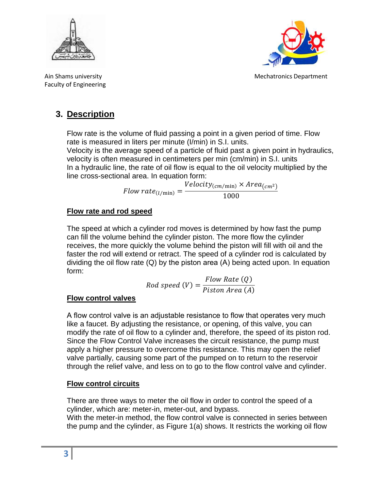



Ain Shams university Mechatronics Department

# **3. Description**

Flow rate is the volume of fluid passing a point in a given period of time. Flow rate is measured in liters per minute (I/min) in S.I. units.

Velocity is the average speed of a particle of fluid past a given point in hydraulics, velocity is often measured in centimeters per min (cm/min) in S.I. units In a hydraulic line, the rate of oil flow is equal to the oil velocity multiplied by the line cross-sectional area. In equation form:

Flow rate $_{(l/\min)} = Velocity_{(cm/min)} \times Area_{(cm^2)}$  $1000$ 

### **Flow rate and rod speed**

The speed at which a cylinder rod moves is determined by how fast the pump can fill the volume behind the cylinder piston. The more flow the cylinder receives, the more quickly the volume behind the piston will fill with oil and the faster the rod will extend or retract. The speed of a cylinder rod is calculated by dividing the oil flow rate (Q) by the piston area (Α) being acted upon. In equation form:

$$
Rod speed (V) = \frac{Flow Rate (Q)}{Piston Area (A)}
$$

### **Flow control valves**

Α flow control valve is an adjustable resistance to flow that operates very much like a faucet. By adjusting the resistance, or opening, of this valve, you can modify the rate of oil flow to a cylinder and, therefore, the speed of its piston rod. Since the Flow Control Valve increases the circuit resistance, the pump must apply a higher pressure to overcome this resistance. This may open the relief valve partially, causing some part of the pumped on to return to the reservoir through the relief valve, and less on to go to the flow control valve and cylinder.

### **Flow control circuits**

There are three ways to meter the oil flow in order to control the speed of a cylinder, which are: meter-in, meter-out, and bypass.

With the meter-in method, the flow control valve is connected in series between the pump and the cylinder, as Figure 1(a) shows. It restricts the working oil flow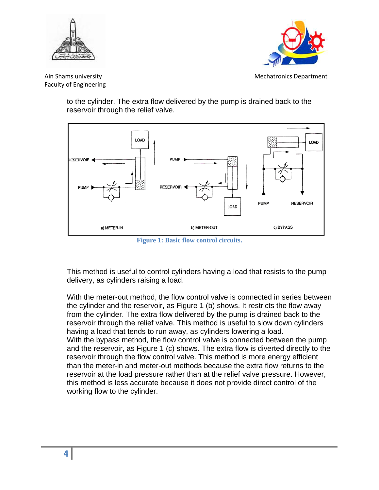



Ain Shams university Mechatronics Department

to the cylinder. The extra flow delivered by the pump is drained back to the reservoir through the relief valve.



**Figure 1: Basic flow control circuits.**

This method is useful to control cylinders having a load that resists to the pump delivery, as cylinders raising a load.

With the meter-out method, the flow control valve is connected in series between the cylinder and the reservoir, as Figure 1 (b) shows. It restricts the flow away from the cylinder. The extra flow delivered by the pump is drained back to the reservoir through the relief valve. This method is useful to slow down cylinders having a load that tends to run away, as cylinders lowering a load. With the bypass method, the flow control valve is connected between the pump and the reservoir, as Figure 1 (c) shows. The extra flow is diverted directly to the reservoir through the flow control valve. This method is more energy efficient than the meter-in and meter-out methods because the extra flow returns to the reservoir at the load pressure rather than at the relief valve pressure. However, this method is less accurate because it does not provide direct control of the working flow to the cylinder.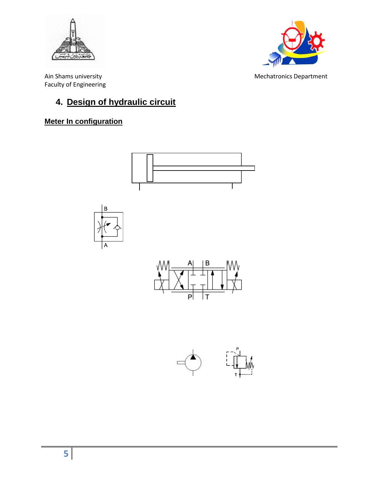



Ain Shams university **Mechatronics** Department Faculty of Engineering

# **4. Design of hydraulic circuit**

### **Meter In configuration**

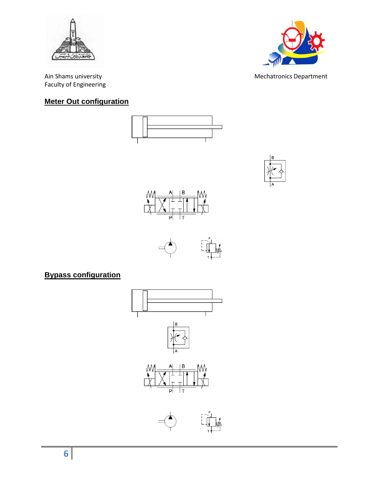



#### Ain Shams university **Mechatronics** Department

#### **Meter Out configuration**









### **Bypass configuration**



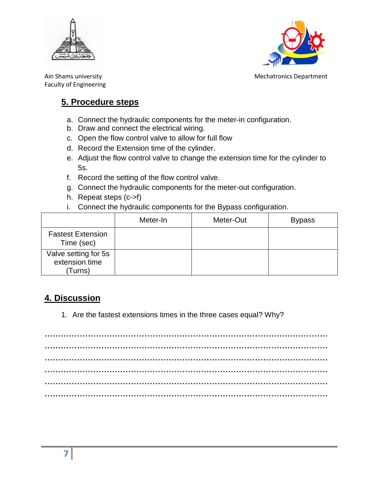



Ain Shams university Mechatronics Department

# **5. Procedure steps**

- a. Connect the hydraulic components for the meter-in configuration.
- b. Draw and connect the electrical wiring.
- c. Open the flow control valve to allow for full flow
- d. Record the Extension time of the cylinder.
- e. Adjust the flow control valve to change the extension time for the cylinder to 5s.
- f. Record the setting of the flow control valve.
- g. Connect the hydraulic components for the meter-out configuration.
- h. Repeat steps (c->f)
- i. Connect the hydraulic components for the Bypass configuration.

|                                                   | Meter-In | Meter-Out | <b>Bypass</b> |
|---------------------------------------------------|----------|-----------|---------------|
| <b>Fastest Extension</b><br>Time (sec)            |          |           |               |
| Valve setting for 5s<br>extension time<br>(Turns) |          |           |               |

## **4. Discussion**

1. Are the fastest extensions times in the three cases equal? Why?

…………………………………………………………………………………………… …………………………………………………………………………………………… …………………………………………………………………………………………… …………………………………………………………………………………………… …………………………………………………………………………………………… ……………………………………………………………………………………………